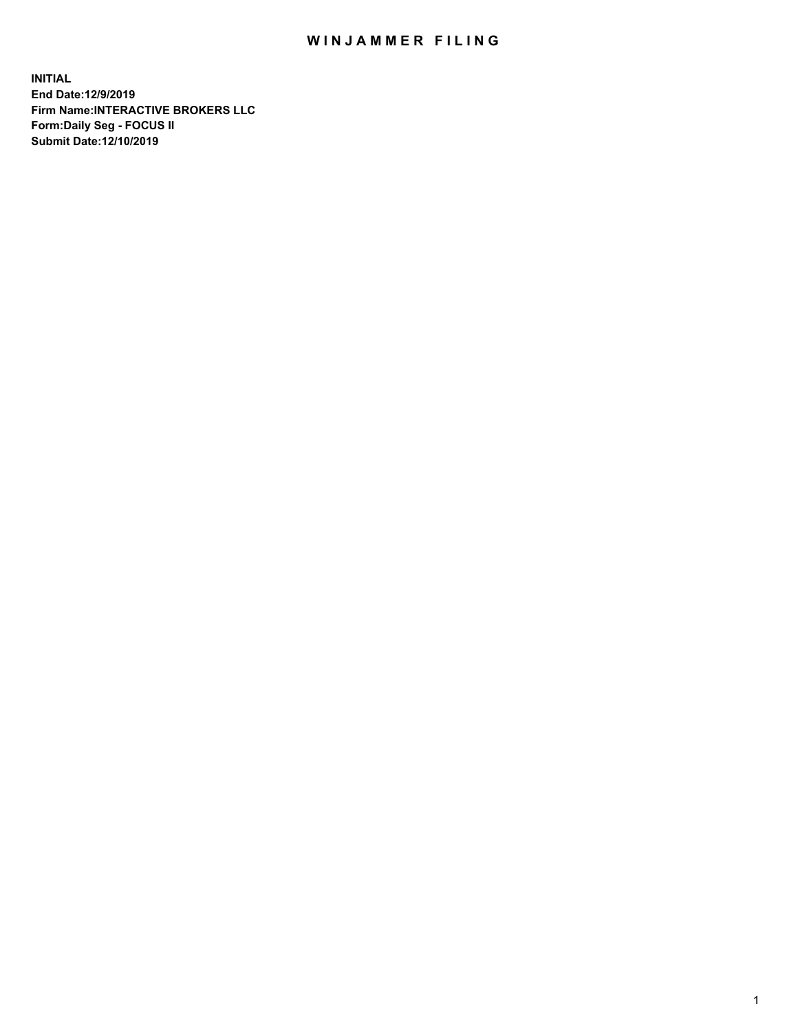## WIN JAMMER FILING

**INITIAL End Date:12/9/2019 Firm Name:INTERACTIVE BROKERS LLC Form:Daily Seg - FOCUS II Submit Date:12/10/2019**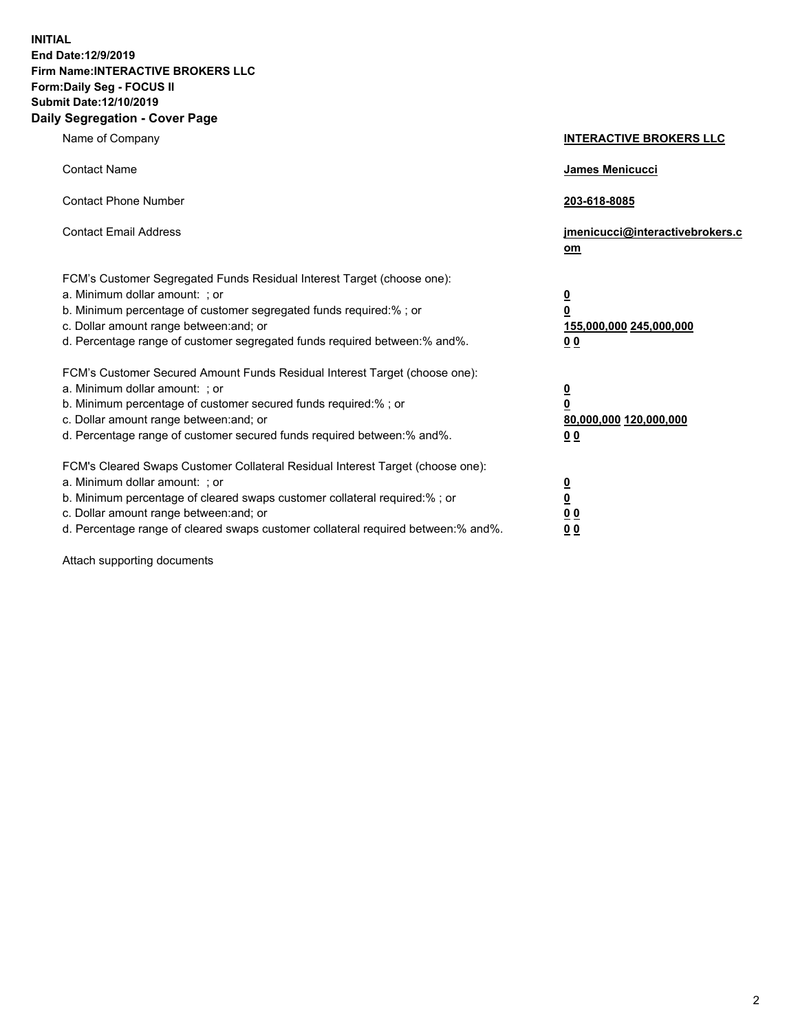**INITIAL End Date:12/9/2019 Firm Name:INTERACTIVE BROKERS LLC Form:Daily Seg - FOCUS II Submit Date:12/10/2019 Daily Segregation - Cover Page**

| Name of Company                                                                                                                                                                                                                                                                                                                | <b>INTERACTIVE BROKERS LLC</b>                                              |
|--------------------------------------------------------------------------------------------------------------------------------------------------------------------------------------------------------------------------------------------------------------------------------------------------------------------------------|-----------------------------------------------------------------------------|
| <b>Contact Name</b>                                                                                                                                                                                                                                                                                                            | James Menicucci                                                             |
| <b>Contact Phone Number</b>                                                                                                                                                                                                                                                                                                    | 203-618-8085                                                                |
| <b>Contact Email Address</b>                                                                                                                                                                                                                                                                                                   | jmenicucci@interactivebrokers.c<br>om                                       |
| FCM's Customer Segregated Funds Residual Interest Target (choose one):<br>a. Minimum dollar amount: ; or<br>b. Minimum percentage of customer segregated funds required:% ; or<br>c. Dollar amount range between: and; or<br>d. Percentage range of customer segregated funds required between:% and%.                         | <u>0</u><br>$\overline{\mathbf{0}}$<br>155,000,000 245,000,000<br><u>00</u> |
| FCM's Customer Secured Amount Funds Residual Interest Target (choose one):<br>a. Minimum dollar amount: ; or<br>b. Minimum percentage of customer secured funds required:%; or<br>c. Dollar amount range between: and; or<br>d. Percentage range of customer secured funds required between:% and%.                            | $\frac{0}{0}$<br>80,000,000 120,000,000<br><u>00</u>                        |
| FCM's Cleared Swaps Customer Collateral Residual Interest Target (choose one):<br>a. Minimum dollar amount: ; or<br>b. Minimum percentage of cleared swaps customer collateral required:% ; or<br>c. Dollar amount range between: and; or<br>d. Percentage range of cleared swaps customer collateral required between:% and%. | $\frac{0}{0}$<br>$\underline{0}$ $\underline{0}$<br>0 <sub>0</sub>          |

Attach supporting documents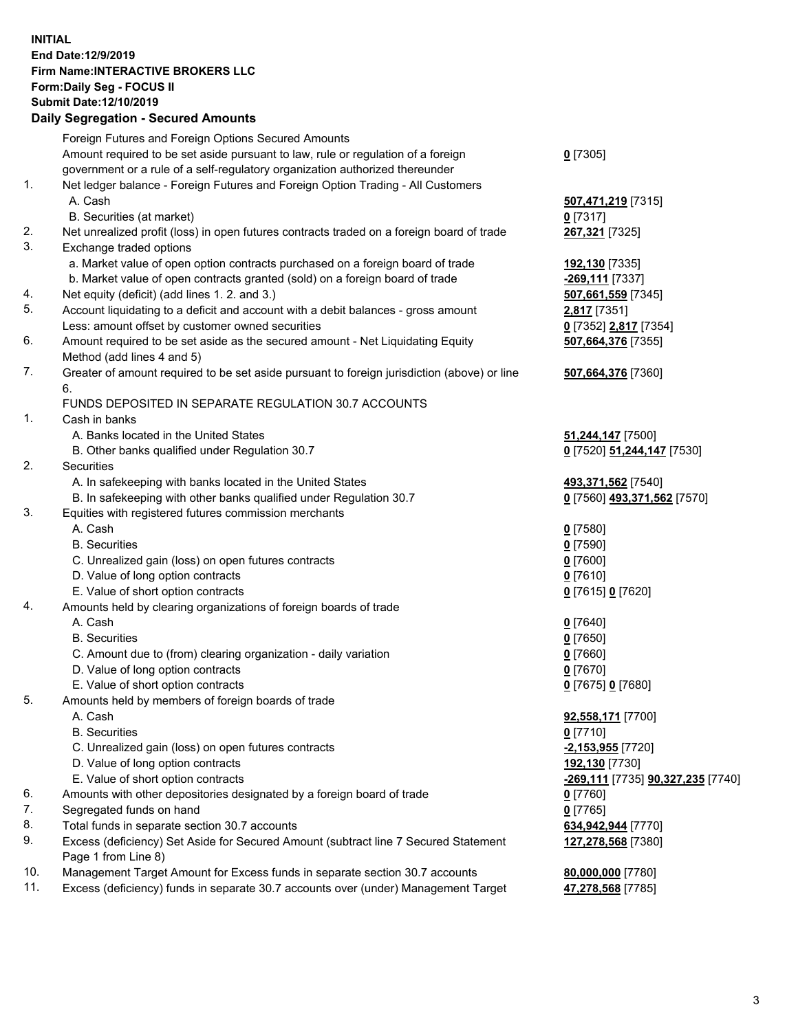## **INITIAL End Date:12/9/2019 Firm Name:INTERACTIVE BROKERS LLC Form:Daily Seg - FOCUS II Submit Date:12/10/2019 Daily Segregation - Secured Amounts**

|     | Daily Segregation - Secured Amounts                                                         |                                   |
|-----|---------------------------------------------------------------------------------------------|-----------------------------------|
|     | Foreign Futures and Foreign Options Secured Amounts                                         |                                   |
|     | Amount required to be set aside pursuant to law, rule or regulation of a foreign            | $0$ [7305]                        |
|     | government or a rule of a self-regulatory organization authorized thereunder                |                                   |
| 1.  | Net ledger balance - Foreign Futures and Foreign Option Trading - All Customers             |                                   |
|     | A. Cash                                                                                     | 507,471,219 [7315]                |
|     | B. Securities (at market)                                                                   | $0$ [7317]                        |
| 2.  | Net unrealized profit (loss) in open futures contracts traded on a foreign board of trade   | 267,321 [7325]                    |
| 3.  | Exchange traded options                                                                     |                                   |
|     | a. Market value of open option contracts purchased on a foreign board of trade              | 192,130 [7335]                    |
|     | b. Market value of open contracts granted (sold) on a foreign board of trade                | -269,111 [7337]                   |
| 4.  | Net equity (deficit) (add lines 1.2. and 3.)                                                | 507,661,559 [7345]                |
| 5.  | Account liquidating to a deficit and account with a debit balances - gross amount           | 2,817 [7351]                      |
|     | Less: amount offset by customer owned securities                                            | 0 [7352] 2,817 [7354]             |
| 6.  | Amount required to be set aside as the secured amount - Net Liquidating Equity              | 507,664,376 [7355]                |
|     | Method (add lines 4 and 5)                                                                  |                                   |
| 7.  | Greater of amount required to be set aside pursuant to foreign jurisdiction (above) or line | 507,664,376 [7360]                |
|     | 6.                                                                                          |                                   |
|     | FUNDS DEPOSITED IN SEPARATE REGULATION 30.7 ACCOUNTS                                        |                                   |
| 1.  | Cash in banks                                                                               |                                   |
|     | A. Banks located in the United States                                                       | 51,244,147 [7500]                 |
|     | B. Other banks qualified under Regulation 30.7                                              | 0 [7520] 51,244,147 [7530]        |
| 2.  | Securities                                                                                  |                                   |
|     | A. In safekeeping with banks located in the United States                                   | 493,371,562 [7540]                |
|     | B. In safekeeping with other banks qualified under Regulation 30.7                          | 0 [7560] 493,371,562 [7570]       |
| 3.  | Equities with registered futures commission merchants                                       |                                   |
|     | A. Cash                                                                                     | $0$ [7580]                        |
|     | <b>B.</b> Securities                                                                        | $0$ [7590]                        |
|     | C. Unrealized gain (loss) on open futures contracts                                         | $0$ [7600]                        |
|     | D. Value of long option contracts                                                           | $0$ [7610]                        |
|     | E. Value of short option contracts                                                          |                                   |
| 4.  | Amounts held by clearing organizations of foreign boards of trade                           | 0 [7615] 0 [7620]                 |
|     | A. Cash                                                                                     |                                   |
|     | <b>B.</b> Securities                                                                        | $0$ [7640]                        |
|     |                                                                                             | $0$ [7650]                        |
|     | C. Amount due to (from) clearing organization - daily variation                             | $0$ [7660]                        |
|     | D. Value of long option contracts                                                           | $0$ [7670]                        |
|     | E. Value of short option contracts                                                          | 0 [7675] 0 [7680]                 |
| 5.  | Amounts held by members of foreign boards of trade                                          |                                   |
|     | A. Cash                                                                                     | 92,558,171 [7700]                 |
|     | <b>B.</b> Securities                                                                        | $0$ [7710]                        |
|     | C. Unrealized gain (loss) on open futures contracts                                         | $-2,153,955$ [7720]               |
|     | D. Value of long option contracts                                                           | 192,130 [7730]                    |
|     | E. Value of short option contracts                                                          | -269,111 [7735] 90,327,235 [7740] |
| 6.  | Amounts with other depositories designated by a foreign board of trade                      | $0$ [7760]                        |
| 7.  | Segregated funds on hand                                                                    | $0$ [7765]                        |
| 8.  | Total funds in separate section 30.7 accounts                                               | 634,942,944 [7770]                |
| 9.  | Excess (deficiency) Set Aside for Secured Amount (subtract line 7 Secured Statement         | 127,278,568 [7380]                |
|     | Page 1 from Line 8)                                                                         |                                   |
| 10. | Management Target Amount for Excess funds in separate section 30.7 accounts                 | 80,000,000 [7780]                 |
| 11. | Excess (deficiency) funds in separate 30.7 accounts over (under) Management Target          | 47,278,568 [7785]                 |
|     |                                                                                             |                                   |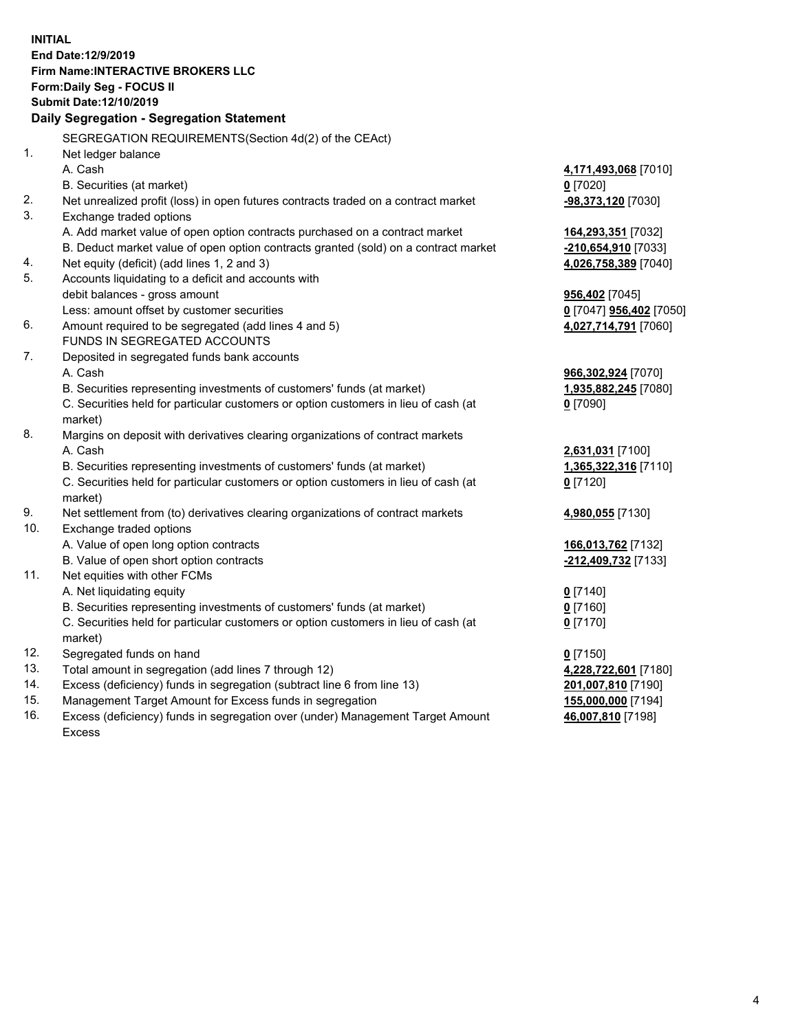**INITIAL End Date:12/9/2019 Firm Name:INTERACTIVE BROKERS LLC Form:Daily Seg - FOCUS II Submit Date:12/10/2019 Daily Segregation - Segregation Statement** SEGREGATION REQUIREMENTS(Section 4d(2) of the CEAct) 1. Net ledger balance A. Cash **4,171,493,068** [7010] B. Securities (at market) **0** [7020] 2. Net unrealized profit (loss) in open futures contracts traded on a contract market **-98,373,120** [7030] 3. Exchange traded options A. Add market value of open option contracts purchased on a contract market **164,293,351** [7032] B. Deduct market value of open option contracts granted (sold) on a contract market **-210,654,910** [7033] 4. Net equity (deficit) (add lines 1, 2 and 3) **4,026,758,389** [7040] 5. Accounts liquidating to a deficit and accounts with debit balances - gross amount **956,402** [7045] Less: amount offset by customer securities **0** [7047] **956,402** [7050] 6. Amount required to be segregated (add lines 4 and 5) **4,027,714,791** [7060] FUNDS IN SEGREGATED ACCOUNTS 7. Deposited in segregated funds bank accounts A. Cash **966,302,924** [7070] B. Securities representing investments of customers' funds (at market) **1,935,882,245** [7080] C. Securities held for particular customers or option customers in lieu of cash (at market) **0** [7090] 8. Margins on deposit with derivatives clearing organizations of contract markets A. Cash **2,631,031** [7100] B. Securities representing investments of customers' funds (at market) **1,365,322,316** [7110] C. Securities held for particular customers or option customers in lieu of cash (at market) **0** [7120] 9. Net settlement from (to) derivatives clearing organizations of contract markets **4,980,055** [7130] 10. Exchange traded options A. Value of open long option contracts **166,013,762** [7132] B. Value of open short option contracts **-212,409,732** [7133] 11. Net equities with other FCMs A. Net liquidating equity **0** [7140] B. Securities representing investments of customers' funds (at market) **0** [7160] C. Securities held for particular customers or option customers in lieu of cash (at market) **0** [7170] 12. Segregated funds on hand **0** [7150] 13. Total amount in segregation (add lines 7 through 12) **4,228,722,601** [7180] 14. Excess (deficiency) funds in segregation (subtract line 6 from line 13) **201,007,810** [7190] 15. Management Target Amount for Excess funds in segregation **155,000,000** [7194] **46,007,810** [7198]

16. Excess (deficiency) funds in segregation over (under) Management Target Amount Excess